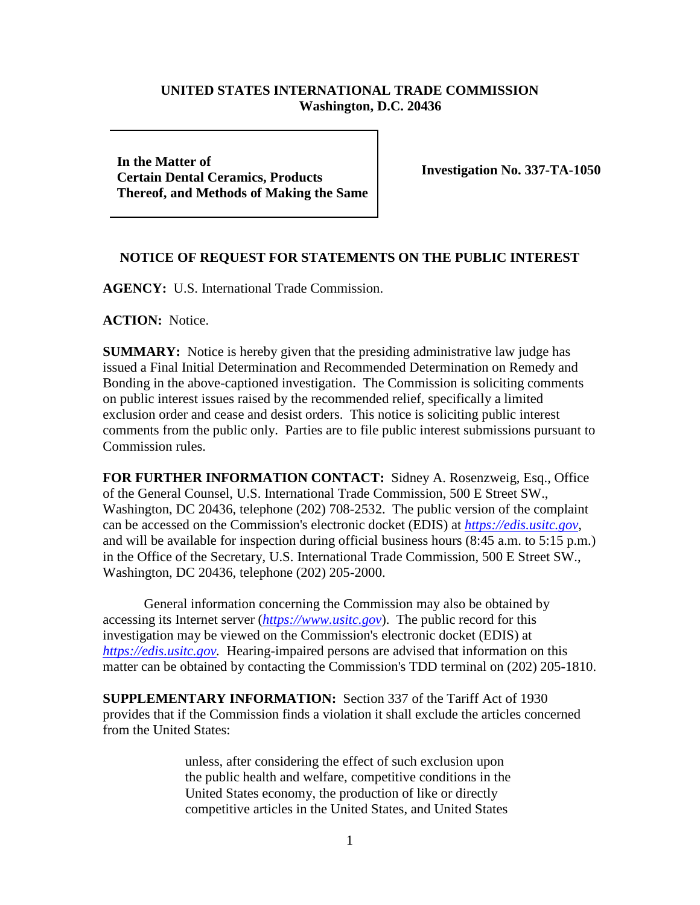## **UNITED STATES INTERNATIONAL TRADE COMMISSION Washington, D.C. 20436**

**In the Matter of Certain Dental Ceramics, Products Thereof, and Methods of Making the Same**

**Investigation No. 337-TA-1050**

## **NOTICE OF REQUEST FOR STATEMENTS ON THE PUBLIC INTEREST**

**AGENCY:** U.S. International Trade Commission.

**ACTION:** Notice.

**SUMMARY:** Notice is hereby given that the presiding administrative law judge has issued a Final Initial Determination and Recommended Determination on Remedy and Bonding in the above-captioned investigation. The Commission is soliciting comments on public interest issues raised by the recommended relief, specifically a limited exclusion order and cease and desist orders. This notice is soliciting public interest comments from the public only. Parties are to file public interest submissions pursuant to Commission rules.

**FOR FURTHER INFORMATION CONTACT:** Sidney A. Rosenzweig, Esq., Office of the General Counsel, U.S. International Trade Commission, 500 E Street SW., Washington, DC 20436, telephone (202) 708-2532. The public version of the complaint can be accessed on the Commission's electronic docket (EDIS) at *[https://edis.usitc.gov](https://edis.usitc.gov/)*, and will be available for inspection during official business hours (8:45 a.m. to 5:15 p.m.) in the Office of the Secretary, U.S. International Trade Commission, 500 E Street SW., Washington, DC 20436, telephone (202) 205-2000.

General information concerning the Commission may also be obtained by accessing its Internet server (*[https://www.usitc.gov](https://www.usitc.gov/)*). The public record for this investigation may be viewed on the Commission's electronic docket (EDIS) at *[https://edis.usitc.gov.](https://edis.usitc.gov/)* Hearing-impaired persons are advised that information on this matter can be obtained by contacting the Commission's TDD terminal on (202) 205-1810.

**SUPPLEMENTARY INFORMATION:** Section 337 of the Tariff Act of 1930 provides that if the Commission finds a violation it shall exclude the articles concerned from the United States:

> unless, after considering the effect of such exclusion upon the public health and welfare, competitive conditions in the United States economy, the production of like or directly competitive articles in the United States, and United States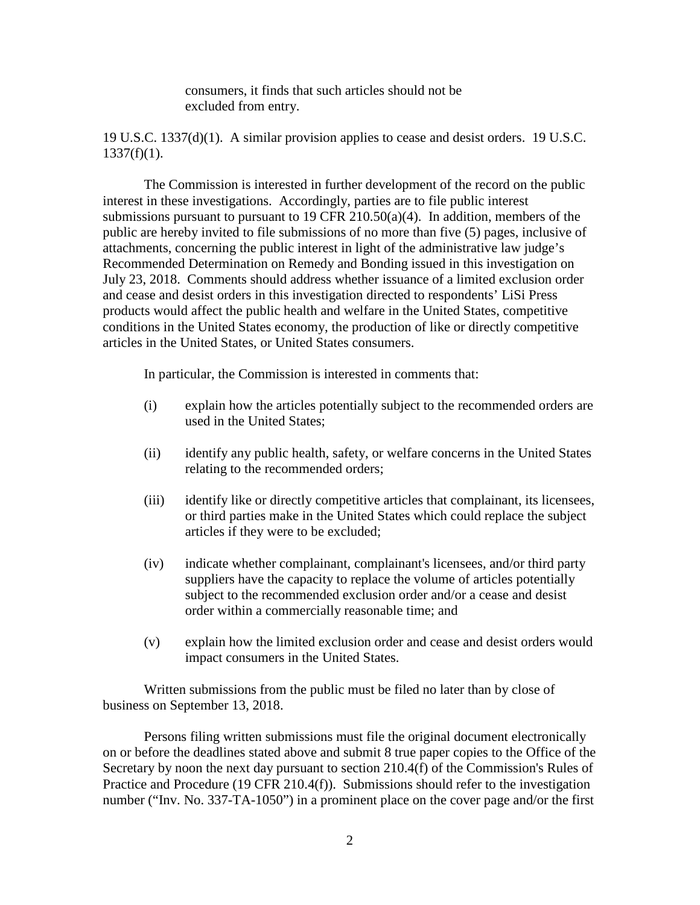consumers, it finds that such articles should not be excluded from entry.

19 U.S.C. 1337(d)(1). A similar provision applies to cease and desist orders. 19 U.S.C.  $1337(f)(1)$ .

The Commission is interested in further development of the record on the public interest in these investigations. Accordingly, parties are to file public interest submissions pursuant to pursuant to 19 CFR 210.50(a)(4). In addition, members of the public are hereby invited to file submissions of no more than five (5) pages, inclusive of attachments, concerning the public interest in light of the administrative law judge's Recommended Determination on Remedy and Bonding issued in this investigation on July 23, 2018. Comments should address whether issuance of a limited exclusion order and cease and desist orders in this investigation directed to respondents' LiSi Press products would affect the public health and welfare in the United States, competitive conditions in the United States economy, the production of like or directly competitive articles in the United States, or United States consumers.

In particular, the Commission is interested in comments that:

- (i) explain how the articles potentially subject to the recommended orders are used in the United States;
- (ii) identify any public health, safety, or welfare concerns in the United States relating to the recommended orders;
- (iii) identify like or directly competitive articles that complainant, its licensees, or third parties make in the United States which could replace the subject articles if they were to be excluded;
- (iv) indicate whether complainant, complainant's licensees, and/or third party suppliers have the capacity to replace the volume of articles potentially subject to the recommended exclusion order and/or a cease and desist order within a commercially reasonable time; and
- (v) explain how the limited exclusion order and cease and desist orders would impact consumers in the United States.

Written submissions from the public must be filed no later than by close of business on September 13, 2018.

Persons filing written submissions must file the original document electronically on or before the deadlines stated above and submit 8 true paper copies to the Office of the Secretary by noon the next day pursuant to section 210.4(f) of the Commission's Rules of Practice and Procedure (19 CFR 210.4(f)). Submissions should refer to the investigation number ("Inv. No. 337-TA-1050") in a prominent place on the cover page and/or the first